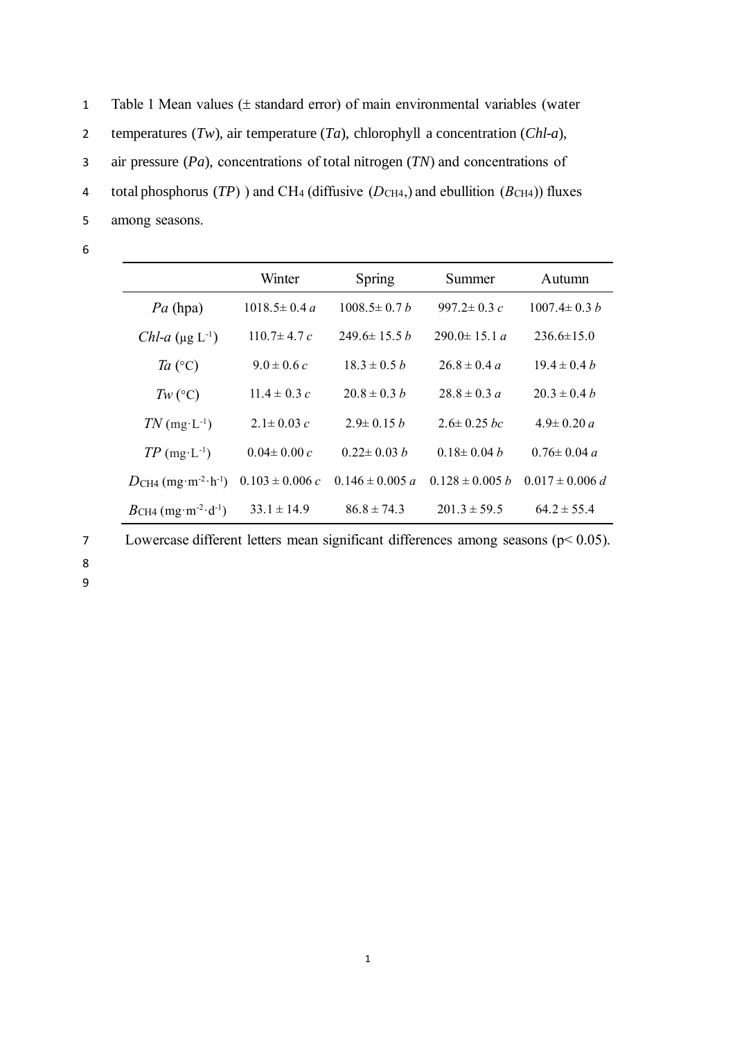1 Table 1 Mean values ( $\pm$  standard error) of main environmental variables (water temperatures (*Tw*), air temperature (*Ta*), chlorophyll a concentration (*Chl-a*), air pressure (*Pa*), concentrations of total nitrogen (*TN*) and concentrations of total phosphorus (*TP*) ) and CH<sup>4</sup> (diffusive (*D*CH4,) and ebullition (*B*CH4)) fluxes

- 5 among seasons.
- 6

|                                               | Winter              | Spring              | Summer               | Autumn              |
|-----------------------------------------------|---------------------|---------------------|----------------------|---------------------|
| $Pa$ (hpa)                                    | $1018.5 \pm 0.4 a$  | $1008.5 \pm 0.7 b$  | $997.2 \pm 0.3 c$    | $1007.4 \pm 0.3 h$  |
| Chl-a $(\mu g L^{-1})$                        | 110 7 $\pm$ 4 7 $c$ | $2496 \pm 155h$     | 290 0 $\pm$ 15 1 $a$ | $236.6\pm15.0$      |
| Ta $({}^{\circ}C)$                            | $9.0 \pm 0.6 c$     | $18.3 \pm 0.5 h$    | $26.8 \pm 0.4 a$     | $19.4 \pm 0.4 h$    |
| $Tw$ (°C)                                     | $11.4 \pm 0.3 c$    | $20.8 \pm 0.3 h$    | $28.8 \pm 0.3 a$     | $20.3 \pm 0.4 h$    |
| $TN$ (mg·L <sup>-1</sup> )                    | 2 1 ± 0 0 3 $c$     | $29 \pm 015 h$      | $2.6 \pm 0.25$ bc    | $4.9 \pm 0.20 a$    |
| $TP \text{ (mg·L-1)}$                         | $0.04 \pm 0.00 c$   | $0.22 \pm 0.03 h$   | $0.18 \pm 0.04 h$    | $0.76 \pm 0.04 a$   |
| $DCH4$ (mg·m <sup>-2</sup> ·h <sup>-1</sup> ) | $0.103 \pm 0.006$ c | $0.146 \pm 0.005 a$ | $0.128 \pm 0.005 b$  | $0.017 \pm 0.006 d$ |
| $BCH4$ (mg·m <sup>-2</sup> ·d <sup>-1</sup> ) | $33.1 \pm 14.9$     | $86.8 \pm 74.3$     | $201.3 \pm 59.5$     | $64.2 \pm 55.4$     |

7 Lowercase different letters mean significant differences among seasons (p< 0.05).

- 8
- 9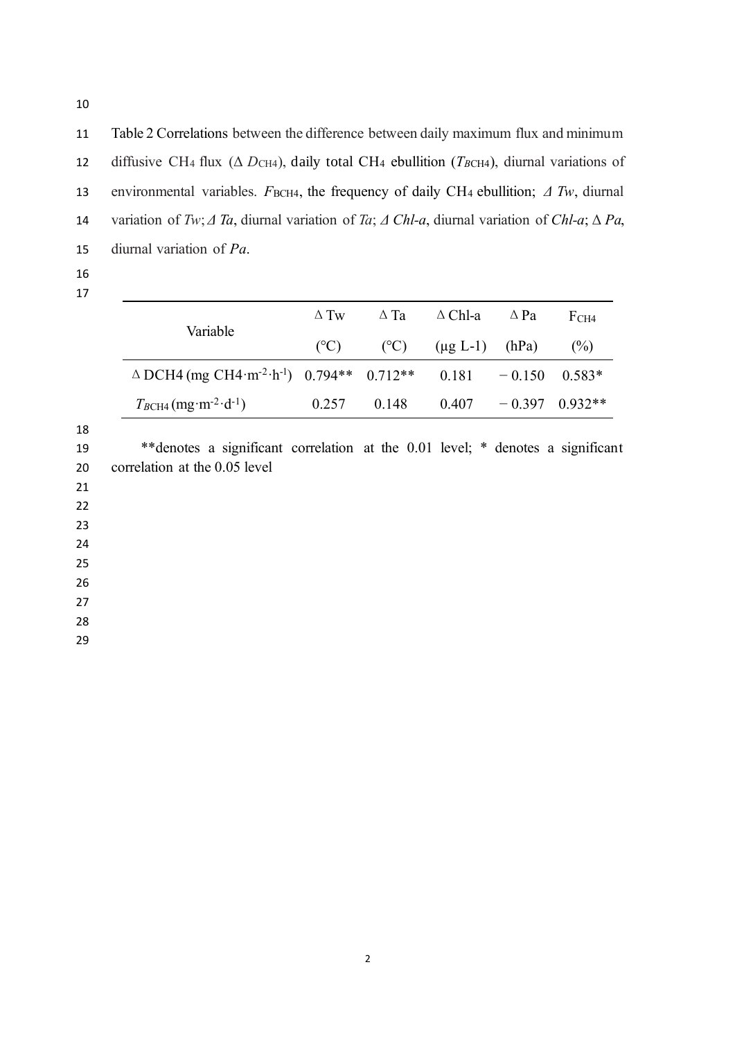11 Table 2 Correlations between the difference between daily maximum flux and minimum 12 diffusive CH<sub>4</sub> flux (Δ *D*<sub>CH4</sub>), daily total CH<sub>4</sub> ebullition (*T<sub>BCH4</sub>*), diurnal variations of 13 environmental variables. *F*<sub>BCH4</sub>, the frequency of daily CH<sub>4</sub> ebullition; *Δ Tw*, diurnal 14 variation of *Tw*; *Δ Ta*, diurnal variation of *Ta*; *Δ Chl-a*, diurnal variation of *Chl-a*; Δ *Pa*, 15 diurnal variation of *Pa*.

16 17

|                                                                                                 | $\Delta$ Tw | $\Delta$ Ta | $\triangle$ Chl-a $\triangle$ Pa | FCH4 |
|-------------------------------------------------------------------------------------------------|-------------|-------------|----------------------------------|------|
| Variable                                                                                        | (C)         |             | $({}^{\circ}C)$ (µg L-1) (hPa)   | (%)  |
| $\triangle$ DCH4 (mg CH4·m <sup>-2</sup> ·h <sup>-1</sup> ) 0.794** 0.712** 0.181 -0.150 0.583* |             |             |                                  |      |
| $T_{BCH4}$ (mg·m <sup>-2</sup> ·d <sup>-1</sup> )                                               |             | 0.257 0.148 | $0.407 - 0.397 0.932**$          |      |

18

19 \*\*denotes a significant correlation at the 0.01 level; \* denotes a significant 20 correlation at the 0.05 level

21

22

23

24 25

26

27

28

29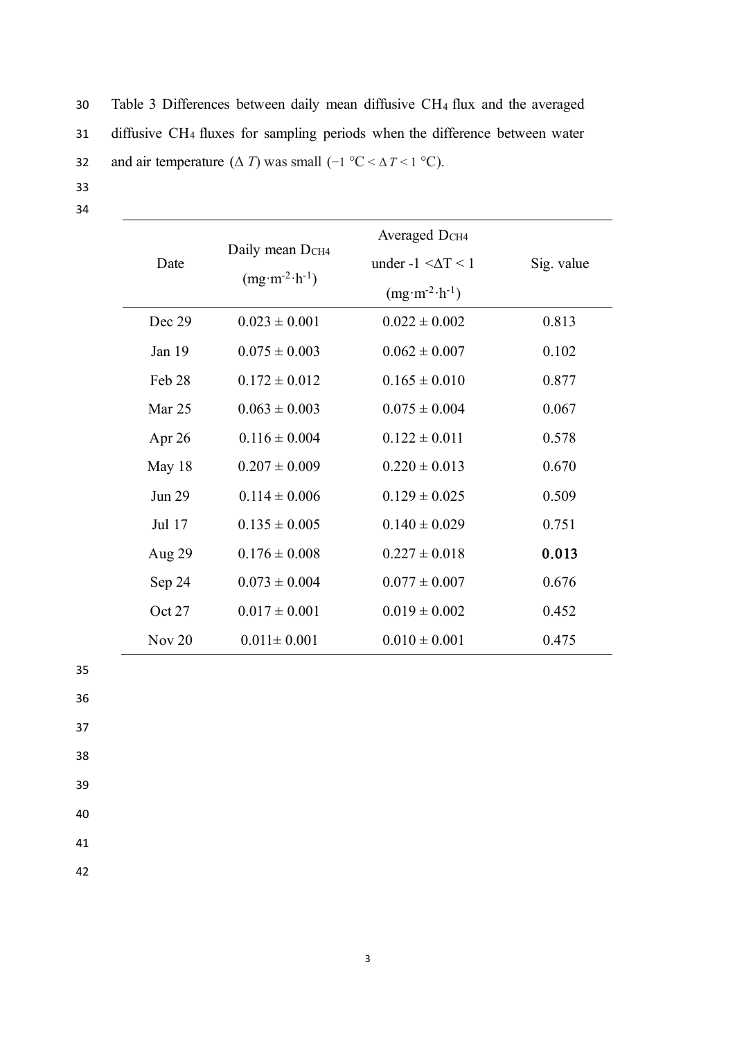30 Table 3 Differences between daily mean diffusive CH<sup>4</sup> flux and the averaged 31 diffusive CH<sup>4</sup> fluxes for sampling periods when the difference between water 32 and air temperature  $(\Delta T)$  was small  $(-1 \degree C < \Delta T < 1 \degree C)$ .

- 33
- 34

| Date          | Daily mean D <sub>CH4</sub><br>$(mg·m-2·h-1)$ | Averaged D <sub>CH4</sub><br>under $-1 < \Delta T < 1$<br>$(mg·m-2·h-1)$ | Sig. value |
|---------------|-----------------------------------------------|--------------------------------------------------------------------------|------------|
| Dec 29        | $0.023 \pm 0.001$                             | $0.022 \pm 0.002$                                                        | 0.813      |
| Jan 19        | $0.075 \pm 0.003$                             | $0.062 \pm 0.007$                                                        | 0.102      |
| Feb 28        | $0.172 \pm 0.012$                             | $0.165 \pm 0.010$                                                        | 0.877      |
| Mar 25        | $0.063 \pm 0.003$                             | $0.075 \pm 0.004$                                                        | 0.067      |
| Apr $26$      | $0.116 \pm 0.004$                             | $0.122 \pm 0.011$                                                        | 0.578      |
| May 18        | $0.207 \pm 0.009$                             | $0.220 \pm 0.013$                                                        | 0.670      |
| <b>Jun 29</b> | $0.114 \pm 0.006$                             | $0.129 \pm 0.025$                                                        | 0.509      |
| Jul 17        | $0.135 \pm 0.005$                             | $0.140 \pm 0.029$                                                        | 0.751      |
| Aug 29        | $0.176 \pm 0.008$                             | $0.227 \pm 0.018$                                                        | 0.013      |
| Sep 24        | $0.073 \pm 0.004$                             | $0.077 \pm 0.007$                                                        | 0.676      |
| Oct 27        | $0.017 \pm 0.001$                             | $0.019 \pm 0.002$                                                        | 0.452      |
| Nov $20$      | $0.011 \pm 0.001$                             | $0.010 \pm 0.001$                                                        | 0.475      |

- 35
- 36
- 37
- 38
- 39
- 40

41

42